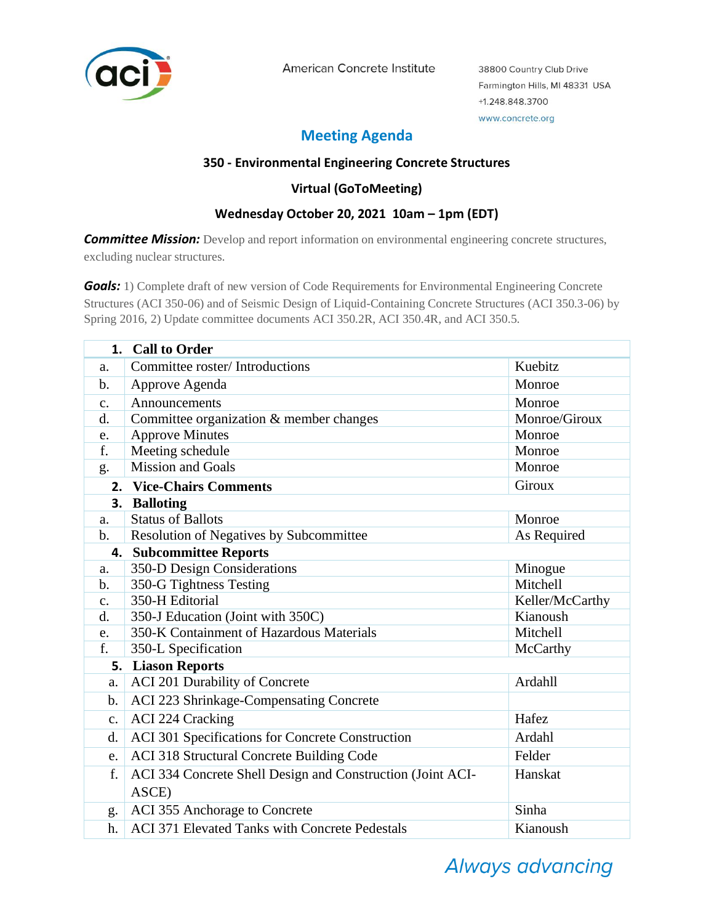

American Concrete Institute

38800 Country Club Drive Farmington Hills, MI 48331 USA +1.248.848.3700 www.concrete.org

# **Meeting Agenda**

### **350 - Environmental Engineering Concrete Structures**

### **Virtual (GoToMeeting)**

## **Wednesday October 20, 2021 10am – 1pm (EDT)**

**Committee Mission:** Develop and report information on environmental engineering concrete structures, excluding nuclear structures.

*Goals:* 1) Complete draft of new version of Code Requirements for Environmental Engineering Concrete Structures (ACI 350-06) and of Seismic Design of Liquid-Containing Concrete Structures (ACI 350.3-06) by Spring 2016, 2) Update committee documents ACI 350.2R, ACI 350.4R, and ACI 350.5.

|               | 1. Call to Order                                                      |               |  |  |
|---------------|-----------------------------------------------------------------------|---------------|--|--|
| a.            | Committee roster/ Introductions<br>Kuebitz                            |               |  |  |
| b.            | Monroe<br>Approve Agenda                                              |               |  |  |
| c.            | Announcements                                                         | Monroe        |  |  |
| d.            | Committee organization & member changes<br>Monroe/Giroux              |               |  |  |
| e.            | <b>Approve Minutes</b>                                                | Monroe        |  |  |
| f.            | Meeting schedule                                                      | Monroe        |  |  |
| g.            | <b>Mission and Goals</b>                                              | Monroe        |  |  |
|               | 2. Vice-Chairs Comments                                               | <b>Giroux</b> |  |  |
|               | 3. Balloting                                                          |               |  |  |
| a.            | <b>Status of Ballots</b>                                              | Monroe        |  |  |
| $\mathbf b$ . | Resolution of Negatives by Subcommittee                               | As Required   |  |  |
| 4.            | <b>Subcommittee Reports</b>                                           |               |  |  |
| a.            | 350-D Design Considerations<br>Minogue                                |               |  |  |
| b.            | 350-G Tightness Testing<br>Mitchell                                   |               |  |  |
| c.            | 350-H Editorial<br>Keller/McCarthy                                    |               |  |  |
| d.            | 350-J Education (Joint with 350C)                                     | Kianoush      |  |  |
| e.            | 350-K Containment of Hazardous Materials                              | Mitchell      |  |  |
| f.            | 350-L Specification<br>McCarthy                                       |               |  |  |
| 5.            | <b>Liason Reports</b>                                                 |               |  |  |
| a.            | ACI 201 Durability of Concrete                                        | Ardahll       |  |  |
| b.            | ACI 223 Shrinkage-Compensating Concrete                               |               |  |  |
| c.            | <b>ACI 224 Cracking</b>                                               | Hafez         |  |  |
| d.            | ACI 301 Specifications for Concrete Construction                      | Ardahl        |  |  |
| e.            | ACI 318 Structural Concrete Building Code                             | Felder        |  |  |
| f.            | ACI 334 Concrete Shell Design and Construction (Joint ACI-<br>Hanskat |               |  |  |
|               | ASCE)                                                                 |               |  |  |
| g.            | ACI 355 Anchorage to Concrete                                         | Sinha         |  |  |
| h.            | <b>ACI 371 Elevated Tanks with Concrete Pedestals</b>                 | Kianoush      |  |  |

# **Always advancing**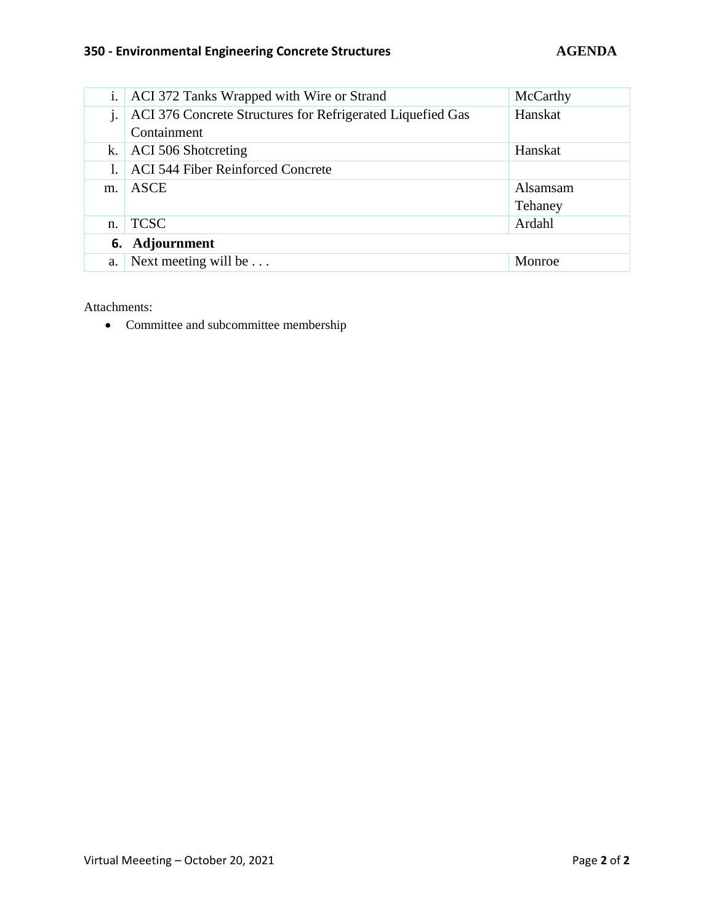### **350 - Environmental Engineering Concrete Structures AGENDA**

| i.             | ACI 372 Tanks Wrapped with Wire or Strand                             | McCarthy |  |  |
|----------------|-----------------------------------------------------------------------|----------|--|--|
| j.             | Hanskat<br>ACI 376 Concrete Structures for Refrigerated Liquefied Gas |          |  |  |
|                | Containment                                                           |          |  |  |
| k.             | ACI 506 Shotcreting                                                   | Hanskat  |  |  |
|                | <b>ACI 544 Fiber Reinforced Concrete</b>                              |          |  |  |
| m.             | ASCE                                                                  | Alsamsam |  |  |
|                |                                                                       | Tehaney  |  |  |
| n.             | <b>TCSC</b>                                                           | Ardahl   |  |  |
| 6. Adjournment |                                                                       |          |  |  |
| a.             | Next meeting will be $\dots$                                          | Monroe   |  |  |

Attachments:

• Committee and subcommittee membership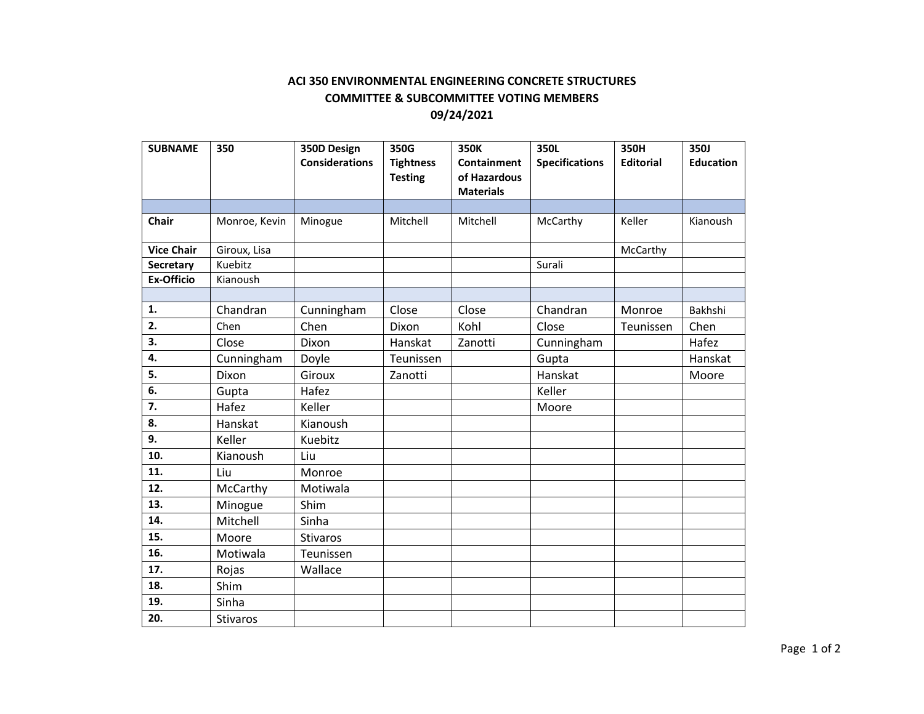### **ACI 350 ENVIRONMENTAL ENGINEERING CONCRETE STRUCTURES COMMITTEE & SUBCOMMITTEE VOTING MEMBERS 09/24/2021**

| <b>SUBNAME</b>    | 350             | 350D Design           | 350G             | 350K             | 350L                  | 350H             | <b>350J</b>      |
|-------------------|-----------------|-----------------------|------------------|------------------|-----------------------|------------------|------------------|
|                   |                 | <b>Considerations</b> | <b>Tightness</b> | Containment      | <b>Specifications</b> | <b>Editorial</b> | <b>Education</b> |
|                   |                 |                       | <b>Testing</b>   | of Hazardous     |                       |                  |                  |
|                   |                 |                       |                  | <b>Materials</b> |                       |                  |                  |
|                   |                 |                       |                  |                  |                       |                  |                  |
| <b>Chair</b>      | Monroe, Kevin   | Minogue               | Mitchell         | Mitchell         | McCarthy              | Keller           | Kianoush         |
| <b>Vice Chair</b> | Giroux, Lisa    |                       |                  |                  |                       | McCarthy         |                  |
| <b>Secretary</b>  | Kuebitz         |                       |                  |                  | Surali                |                  |                  |
| <b>Ex-Officio</b> | Kianoush        |                       |                  |                  |                       |                  |                  |
|                   |                 |                       |                  |                  |                       |                  |                  |
| 1.                | Chandran        | Cunningham            | Close            | Close            | Chandran              | Monroe           | Bakhshi          |
| 2.                | Chen            | Chen                  | Dixon            | Kohl             | Close                 | Teunissen        | Chen             |
| 3.                | Close           | <b>Dixon</b>          | Hanskat          | Zanotti          | Cunningham            |                  | Hafez            |
| 4.                | Cunningham      | Doyle                 | Teunissen        |                  | Gupta                 |                  | Hanskat          |
| 5.                | Dixon           | Giroux                | Zanotti          |                  | Hanskat               |                  | Moore            |
| 6.                | Gupta           | Hafez                 |                  |                  | Keller                |                  |                  |
| 7.                | Hafez           | Keller                |                  |                  | Moore                 |                  |                  |
| 8.                | Hanskat         | Kianoush              |                  |                  |                       |                  |                  |
| 9.                | Keller          | Kuebitz               |                  |                  |                       |                  |                  |
| 10.               | Kianoush        | Liu                   |                  |                  |                       |                  |                  |
| 11.               | Liu             | Monroe                |                  |                  |                       |                  |                  |
| 12.               | McCarthy        | Motiwala              |                  |                  |                       |                  |                  |
| 13.               | Minogue         | Shim                  |                  |                  |                       |                  |                  |
| 14.               | Mitchell        | Sinha                 |                  |                  |                       |                  |                  |
| 15.               | Moore           | <b>Stivaros</b>       |                  |                  |                       |                  |                  |
| 16.               | Motiwala        | Teunissen             |                  |                  |                       |                  |                  |
| 17.               | Rojas           | Wallace               |                  |                  |                       |                  |                  |
| 18.               | Shim            |                       |                  |                  |                       |                  |                  |
| 19.               | Sinha           |                       |                  |                  |                       |                  |                  |
| 20.               | <b>Stivaros</b> |                       |                  |                  |                       |                  |                  |